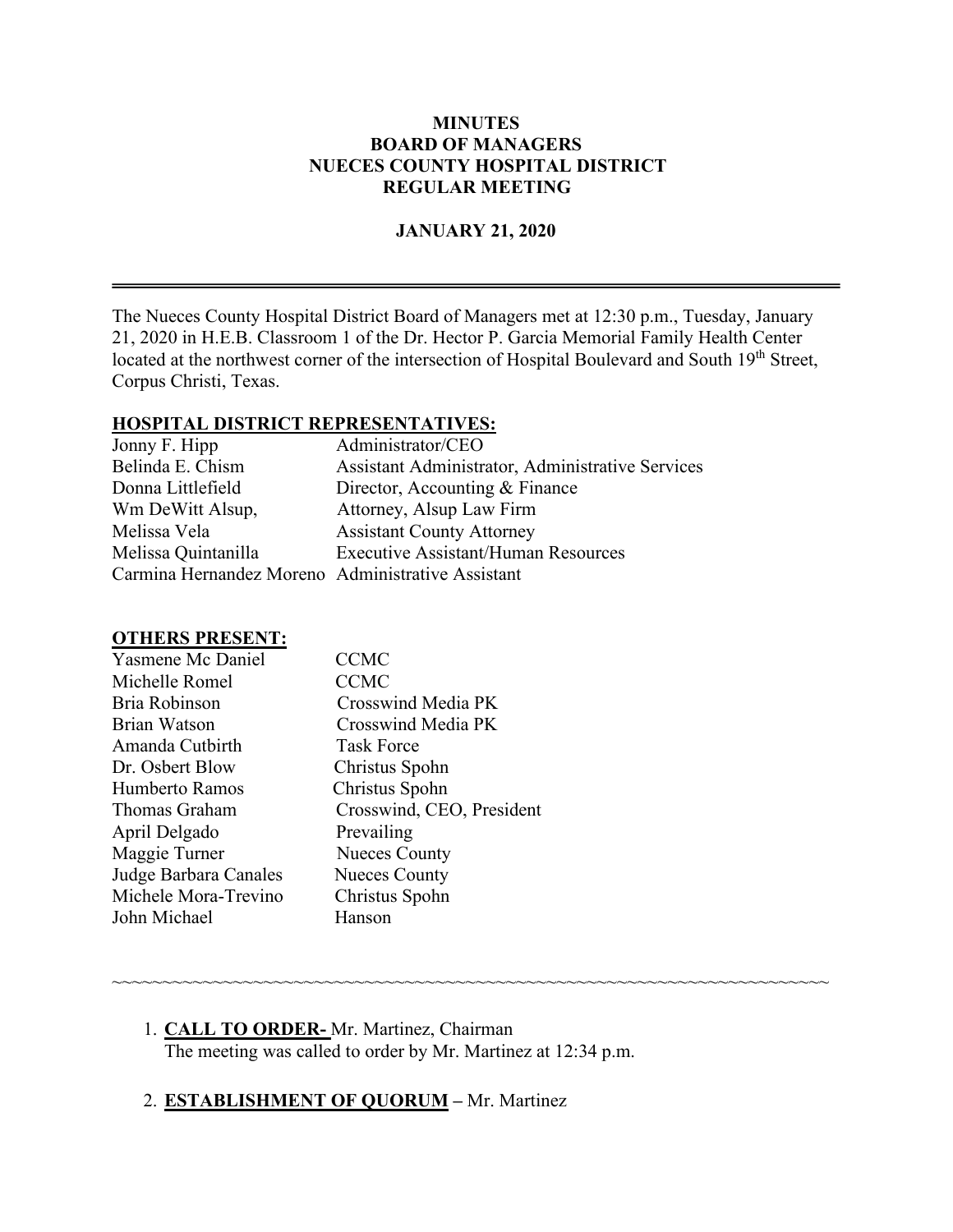### **MINUTES BOARD OF MANAGERS NUECES COUNTY HOSPITAL DISTRICT REGULAR MEETING**

#### **JANUARY 21, 2020**

The Nueces County Hospital District Board of Managers met at 12:30 p.m., Tuesday, January 21, 2020 in H.E.B. Classroom 1 of the Dr. Hector P. Garcia Memorial Family Health Center located at the northwest corner of the intersection of Hospital Boulevard and South 19<sup>th</sup> Street, Corpus Christi, Texas.

### **HOSPITAL DISTRICT REPRESENTATIVES:**

| Jonny F. Hipp                                     | Administrator/CEO                                |
|---------------------------------------------------|--------------------------------------------------|
| Belinda E. Chism                                  | Assistant Administrator, Administrative Services |
| Donna Littlefield                                 | Director, Accounting & Finance                   |
| Wm DeWitt Alsup,                                  | Attorney, Alsup Law Firm                         |
| Melissa Vela                                      | <b>Assistant County Attorney</b>                 |
| Melissa Quintanilla                               | <b>Executive Assistant/Human Resources</b>       |
| Carmina Hernandez Moreno Administrative Assistant |                                                  |

#### **OTHERS PRESENT:**

| <b>Yasmene Mc Daniel</b> | <b>CCMC</b>               |
|--------------------------|---------------------------|
| Michelle Romel           | <b>CCMC</b>               |
| Bria Robinson            | Crosswind Media PK        |
| <b>Brian Watson</b>      | Crosswind Media PK        |
| Amanda Cutbirth          | <b>Task Force</b>         |
| Dr. Osbert Blow          | Christus Spohn            |
| Humberto Ramos           | Christus Spohn            |
| Thomas Graham            | Crosswind, CEO, President |
| April Delgado            | Prevailing                |
| Maggie Turner            | <b>Nueces County</b>      |
| Judge Barbara Canales    | <b>Nueces County</b>      |
| Michele Mora-Trevino     | Christus Spohn            |
| John Michael             | Hanson                    |
|                          |                           |

1. **CALL TO ORDER-** Mr. Martinez, Chairman The meeting was called to order by Mr. Martinez at 12:34 p.m.

~~~~~~~~~~~~~~~~~~~~~~~~~~~~~~~~~~~~~~~~~~~~~~~~~~~~~~~~~~~~~~~~~~~~~~~

## 2. **ESTABLISHMENT OF QUORUM –** Mr. Martinez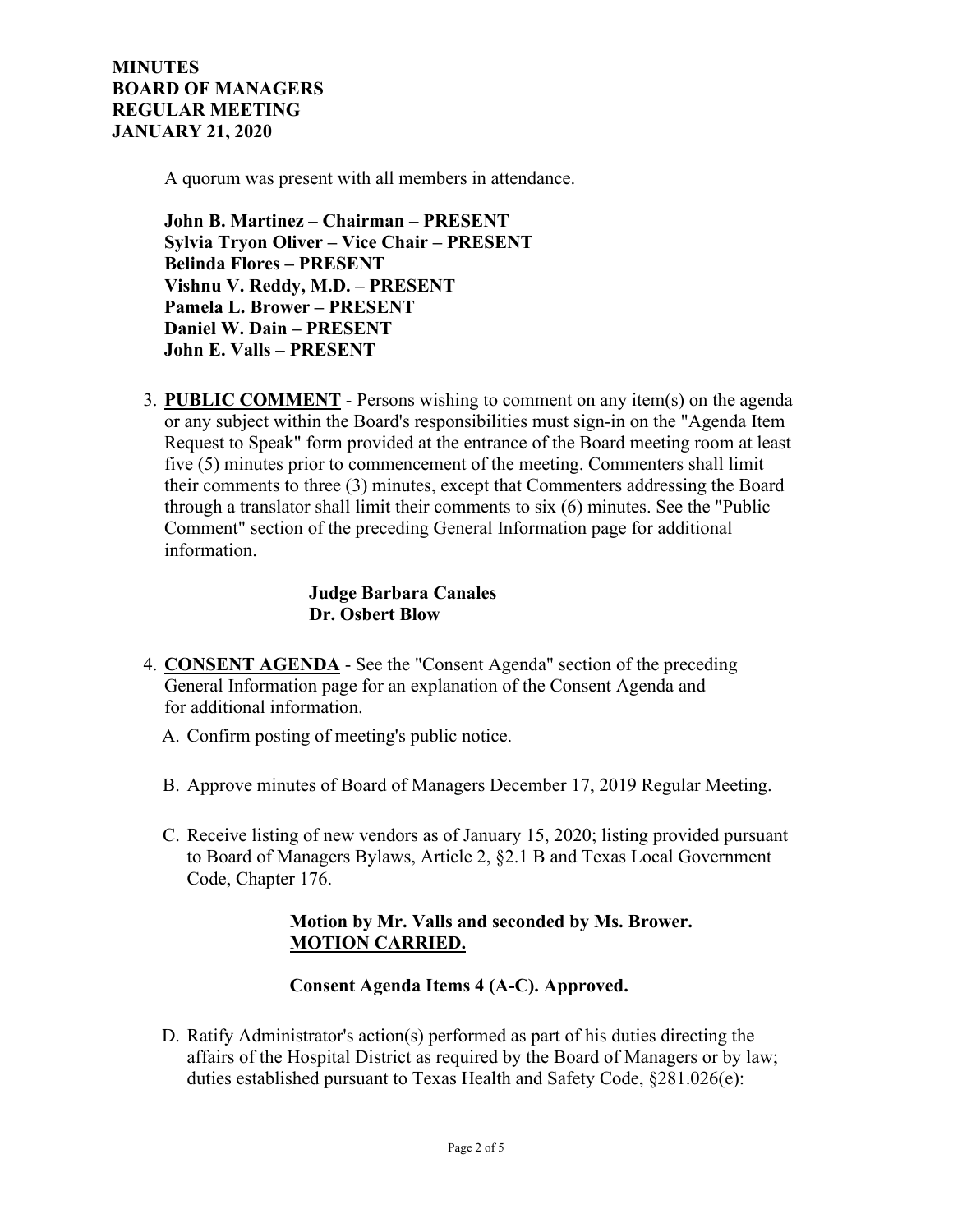A quorum was present with all members in attendance.

**John B. Martinez – Chairman – PRESENT Sylvia Tryon Oliver – Vice Chair – PRESENT Belinda Flores – PRESENT Vishnu V. Reddy, M.D. – PRESENT Pamela L. Brower – PRESENT Daniel W. Dain – PRESENT John E. Valls – PRESENT**

3. **PUBLIC COMMENT** - Persons wishing to comment on any item(s) on the agenda or any subject within the Board's responsibilities must sign-in on the "Agenda Item Request to Speak" form provided at the entrance of the Board meeting room at least five (5) minutes prior to commencement of the meeting. Commenters shall limit their comments to three (3) minutes, except that Commenters addressing the Board through a translator shall limit their comments to six (6) minutes. See the "Public Comment" section of the preceding General Information page for additional information.

## **Judge Barbara Canales Dr. Osbert Blow**

- 4. **CONSENT AGENDA** See the "Consent Agenda" section of the preceding General Information page for an explanation of the Consent Agenda and for additional information.
	- A. Confirm posting of meeting's public notice.
	- B. Approve minutes of Board of Managers December 17, 2019 Regular Meeting.
	- C. Receive listing of new vendors as of January 15, 2020; listing provided pursuant to Board of Managers Bylaws, Article 2, §2.1 B and Texas Local Government Code, Chapter 176.

## **Motion by Mr. Valls and seconded by Ms. Brower. MOTION CARRIED.**

#### **Consent Agenda Items 4 (A-C). Approved.**

D. Ratify Administrator's action(s) performed as part of his duties directing the affairs of the Hospital District as required by the Board of Managers or by law; duties established pursuant to Texas Health and Safety Code, §281.026(e):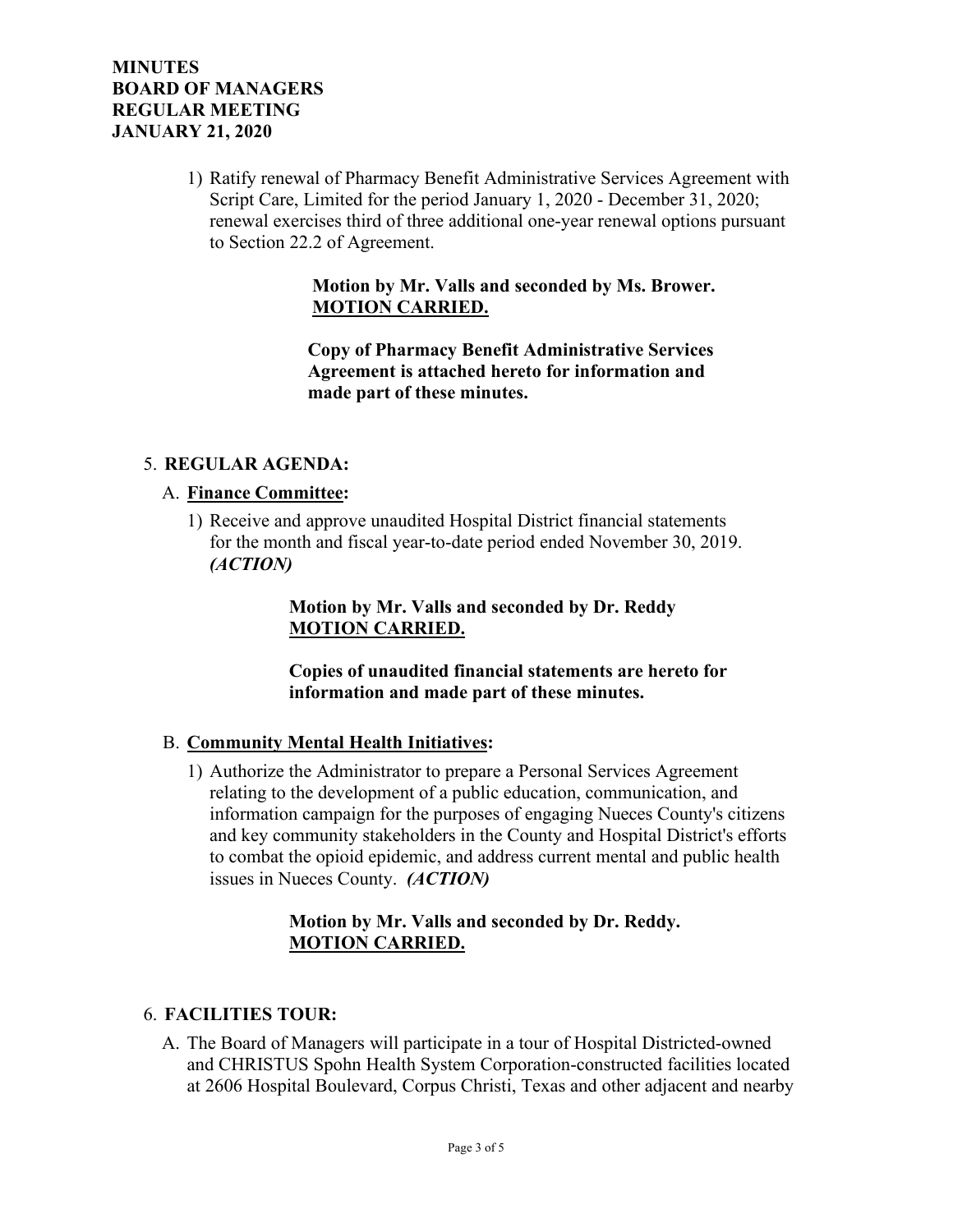1) Ratify renewal of Pharmacy Benefit Administrative Services Agreement with Script Care, Limited for the period January 1, 2020 - December 31, 2020; renewal exercises third of three additional one-year renewal options pursuant to Section 22.2 of Agreement.

### **Motion by Mr. Valls and seconded by Ms. Brower. MOTION CARRIED.**

 **Copy of Pharmacy Benefit Administrative Services Agreement is attached hereto for information and made part of these minutes.**

### 5. **REGULAR AGENDA:**

### A. **Finance Committee:**

1) Receive and approve unaudited Hospital District financial statements for the month and fiscal year-to-date period ended November 30, 2019. *(ACTION)*

> **Motion by Mr. Valls and seconded by Dr. Reddy MOTION CARRIED.**

 **Copies of unaudited financial statements are hereto for information and made part of these minutes.**

#### B. **Community Mental Health Initiatives:**

1) Authorize the Administrator to prepare a Personal Services Agreement relating to the development of a public education, communication, and information campaign for the purposes of engaging Nueces County's citizens and key community stakeholders in the County and Hospital District's efforts to combat the opioid epidemic, and address current mental and public health issues in Nueces County. *(ACTION)*

### **Motion by Mr. Valls and seconded by Dr. Reddy. MOTION CARRIED.**

#### 6. **FACILITIES TOUR:**

A. The Board of Managers will participate in a tour of Hospital Districted-owned and CHRISTUS Spohn Health System Corporation-constructed facilities located at 2606 Hospital Boulevard, Corpus Christi, Texas and other adjacent and nearby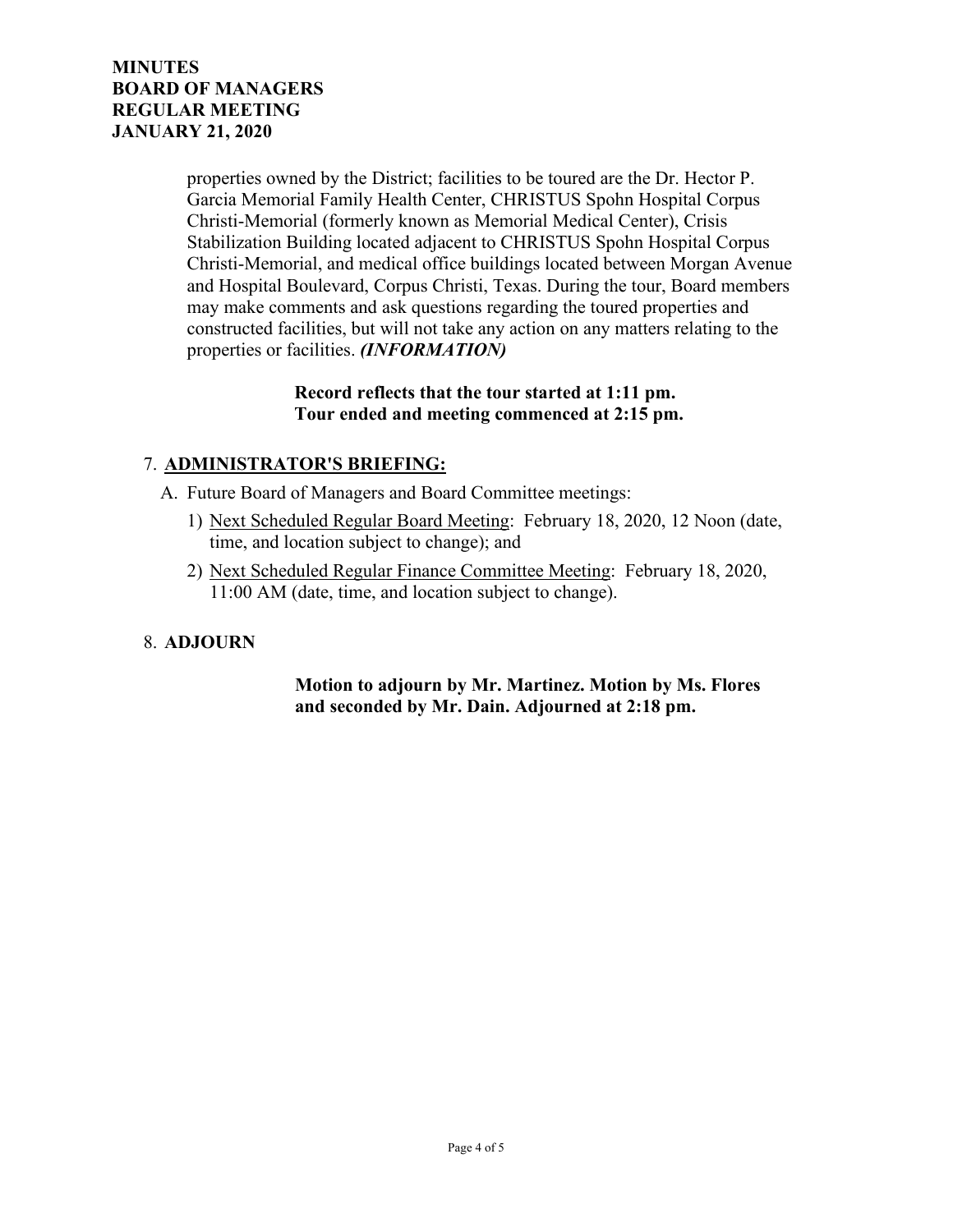properties owned by the District; facilities to be toured are the Dr. Hector P. Garcia Memorial Family Health Center, CHRISTUS Spohn Hospital Corpus Christi-Memorial (formerly known as Memorial Medical Center), Crisis Stabilization Building located adjacent to CHRISTUS Spohn Hospital Corpus Christi-Memorial, and medical office buildings located between Morgan Avenue and Hospital Boulevard, Corpus Christi, Texas. During the tour, Board members may make comments and ask questions regarding the toured properties and constructed facilities, but will not take any action on any matters relating to the properties or facilities. *(INFORMATION)*

#### **Record reflects that the tour started at 1:11 pm. Tour ended and meeting commenced at 2:15 pm.**

# 7. **ADMINISTRATOR'S BRIEFING:**

A. Future Board of Managers and Board Committee meetings:

- 1) Next Scheduled Regular Board Meeting: February 18, 2020, 12 Noon (date, time, and location subject to change); and
- 2) Next Scheduled Regular Finance Committee Meeting: February 18, 2020, 11:00 AM (date, time, and location subject to change).

## 8. **ADJOURN**

### **Motion to adjourn by Mr. Martinez. Motion by Ms. Flores and seconded by Mr. Dain. Adjourned at 2:18 pm.**